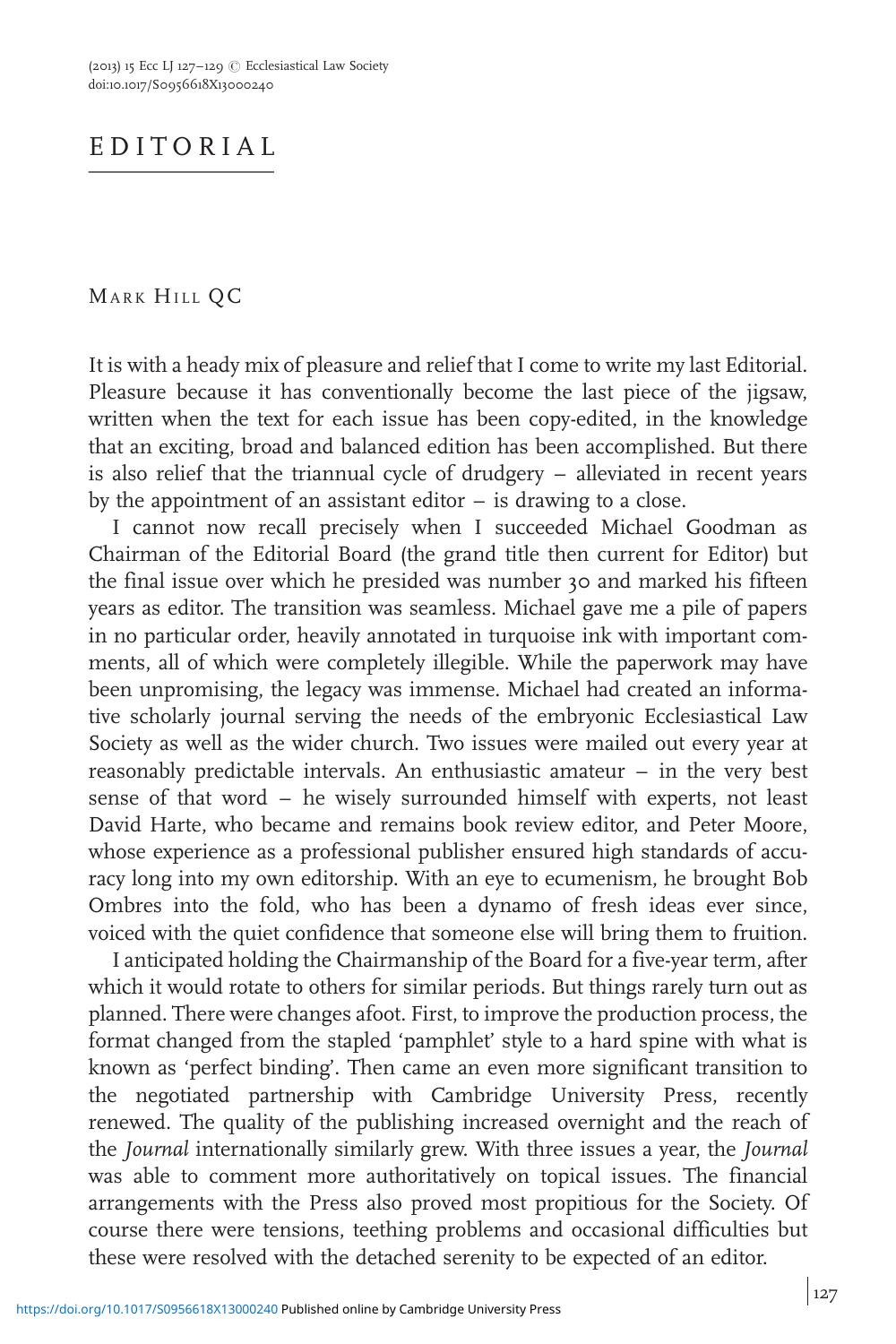## EDITORIAL

## MARK HILL QC

It is with a heady mix of pleasure and relief that I come to write my last Editorial. Pleasure because it has conventionally become the last piece of the jigsaw, written when the text for each issue has been copy-edited, in the knowledge that an exciting, broad and balanced edition has been accomplished. But there is also relief that the triannual cycle of drudgery – alleviated in recent years by the appointment of an assistant editor  $-$  is drawing to a close.

I cannot now recall precisely when I succeeded Michael Goodman as Chairman of the Editorial Board (the grand title then current for Editor) but the final issue over which he presided was number 30 and marked his fifteen years as editor. The transition was seamless. Michael gave me a pile of papers in no particular order, heavily annotated in turquoise ink with important comments, all of which were completely illegible. While the paperwork may have been unpromising, the legacy was immense. Michael had created an informative scholarly journal serving the needs of the embryonic Ecclesiastical Law Society as well as the wider church. Two issues were mailed out every year at reasonably predictable intervals. An enthusiastic amateur – in the very best sense of that word – he wisely surrounded himself with experts, not least David Harte, who became and remains book review editor, and Peter Moore, whose experience as a professional publisher ensured high standards of accuracy long into my own editorship. With an eye to ecumenism, he brought Bob Ombres into the fold, who has been a dynamo of fresh ideas ever since, voiced with the quiet confidence that someone else will bring them to fruition.

I anticipated holding the Chairmanship of the Board for a five-year term, after which it would rotate to others for similar periods. But things rarely turn out as planned. There were changes afoot. First, to improve the production process, the format changed from the stapled 'pamphlet' style to a hard spine with what is known as 'perfect binding'. Then came an even more significant transition to the negotiated partnership with Cambridge University Press, recently renewed. The quality of the publishing increased overnight and the reach of the Journal internationally similarly grew. With three issues a year, the Journal was able to comment more authoritatively on topical issues. The financial arrangements with the Press also proved most propitious for the Society. Of course there were tensions, teething problems and occasional difficulties but these were resolved with the detached serenity to be expected of an editor.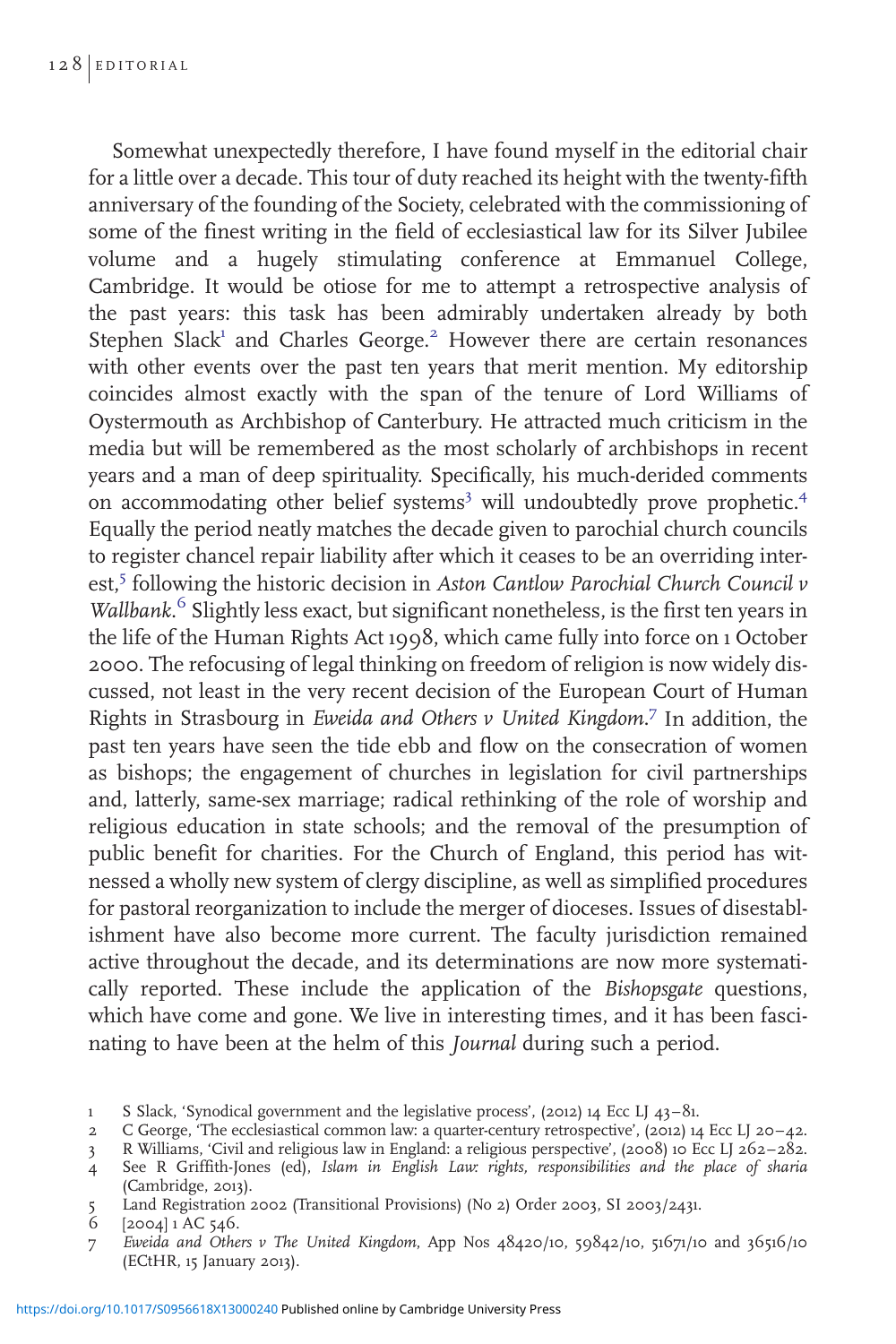Somewhat unexpectedly therefore, I have found myself in the editorial chair for a little over a decade. This tour of duty reached its height with the twenty-fifth anniversary of the founding of the Society, celebrated with the commissioning of some of the finest writing in the field of ecclesiastical law for its Silver Jubilee volume and a hugely stimulating conference at Emmanuel College, Cambridge. It would be otiose for me to attempt a retrospective analysis of the past years: this task has been admirably undertaken already by both Stephen Slack<sup>1</sup> and Charles George.<sup>2</sup> However there are certain resonances with other events over the past ten years that merit mention. My editorship coincides almost exactly with the span of the tenure of Lord Williams of Oystermouth as Archbishop of Canterbury. He attracted much criticism in the media but will be remembered as the most scholarly of archbishops in recent years and a man of deep spirituality. Specifically, his much-derided comments on accommodating other belief systems<sup>3</sup> will undoubtedly prove prophetic.<sup>4</sup> Equally the period neatly matches the decade given to parochial church councils to register chancel repair liability after which it ceases to be an overriding interest,<sup>5</sup> following the historic decision in Aston Cantlow Parochial Church Council v Wallbank. <sup>6</sup> Slightly less exact, but significant nonetheless, is the first ten years in the life of the Human Rights Act 1998, which came fully into force on 1 October 2000. The refocusing of legal thinking on freedom of religion is now widely discussed, not least in the very recent decision of the European Court of Human Rights in Strasbourg in Eweida and Others v United Kingdom.<sup>7</sup> In addition, the past ten years have seen the tide ebb and flow on the consecration of women as bishops; the engagement of churches in legislation for civil partnerships and, latterly, same-sex marriage; radical rethinking of the role of worship and religious education in state schools; and the removal of the presumption of public benefit for charities. For the Church of England, this period has witnessed a wholly new system of clergy discipline, as well as simplified procedures for pastoral reorganization to include the merger of dioceses. Issues of disestablishment have also become more current. The faculty jurisdiction remained active throughout the decade, and its determinations are now more systematically reported. These include the application of the Bishopsgate questions, which have come and gone. We live in interesting times, and it has been fascinating to have been at the helm of this Journal during such a period.

3 R Williams, 'Civil and religious law in England: a religious perspective', (2008) 10 Ecc LJ 262–282.

5 Land Registration 2002 (Transitional Provisions) (No 2) Order 2003, SI 2003/2431.

7 Eweida and Others v The United Kingdom, App Nos 48420/10, 59842/10, 51671/10 and 36516/10 (ECtHR, 15 January 2013).

<sup>1</sup> S Slack, 'Synodical government and the legislative process', (2012) 14 Ecc LJ 43–81.

<sup>2</sup> C George, 'The ecclesiastical common law: a quarter-century retrospective', (2012) 14 Ecc LJ 20–42.

<sup>4</sup> See R Griffith-Jones (ed), Islam in English Law: rights, responsibilities and the place of sharia (Cambridge, 2013).

 $6$  [2004] 1 AC 546.